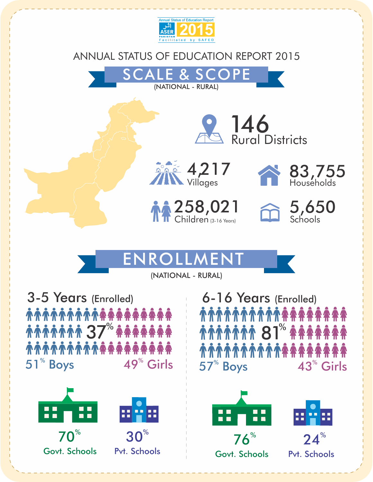

## ANNUAL STATUS OF EDUCATION REPORT 2015

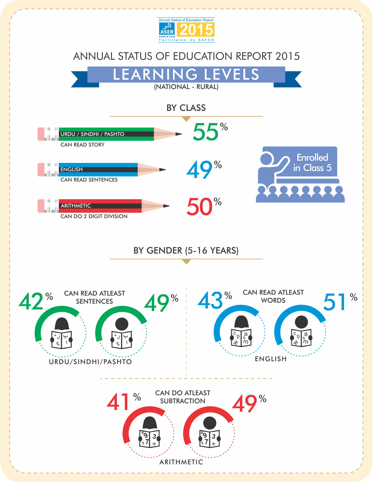

## ANNUAL STATUS OF EDUCATION REPORT 2015

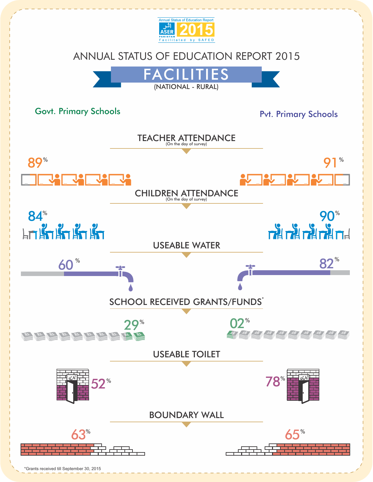

<sup>\*</sup>Grants received till September 30, 2015